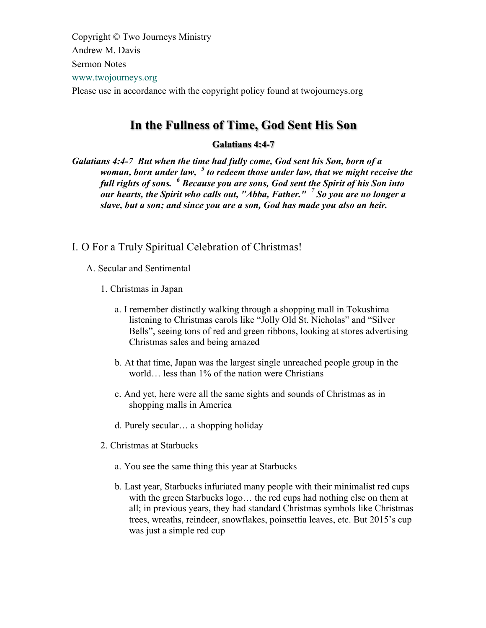Copyright © Two Journeys Ministry Andrew M. Davis Sermon Notes www.twojourneys.org Please use in accordance with the copyright policy found at twojourneys.org

# **In the Fullness of Time, God Sent His Son**

### **Galatians 4:4-7**

*Galatians 4:4-7 But when the time had fully come, God sent his Son, born of a woman, born under law, <sup>5</sup> to redeem those under law, that we might receive the full rights of sons. <sup>6</sup> Because you are sons, God sent the Spirit of his Son into our hearts, the Spirit who calls out, "Abba, Father." <sup>7</sup> So you are no longer a slave, but a son; and since you are a son, God has made you also an heir.*

- I. O For a Truly Spiritual Celebration of Christmas!
	- A. Secular and Sentimental
		- 1. Christmas in Japan
			- a. I remember distinctly walking through a shopping mall in Tokushima listening to Christmas carols like "Jolly Old St. Nicholas" and "Silver Bells", seeing tons of red and green ribbons, looking at stores advertising Christmas sales and being amazed
			- b. At that time, Japan was the largest single unreached people group in the world… less than 1% of the nation were Christians
			- c. And yet, here were all the same sights and sounds of Christmas as in shopping malls in America
			- d. Purely secular… a shopping holiday
		- 2. Christmas at Starbucks
			- a. You see the same thing this year at Starbucks
			- b. Last year, Starbucks infuriated many people with their minimalist red cups with the green Starbucks logo… the red cups had nothing else on them at all; in previous years, they had standard Christmas symbols like Christmas trees, wreaths, reindeer, snowflakes, poinsettia leaves, etc. But 2015's cup was just a simple red cup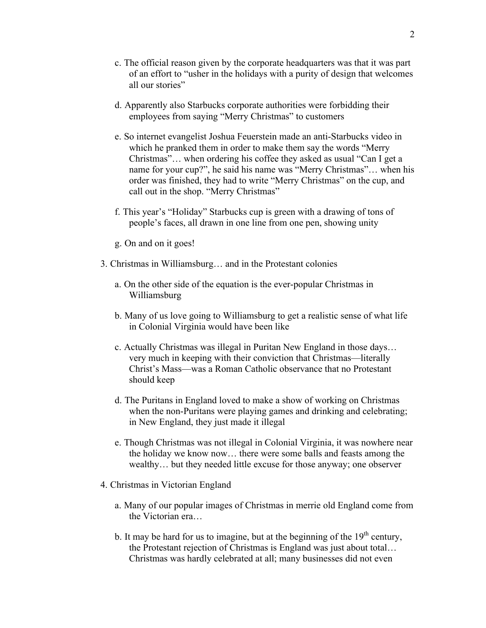- c. The official reason given by the corporate headquarters was that it was part of an effort to "usher in the holidays with a purity of design that welcomes all our stories"
- d. Apparently also Starbucks corporate authorities were forbidding their employees from saying "Merry Christmas" to customers
- e. So internet evangelist Joshua Feuerstein made an anti-Starbucks video in which he pranked them in order to make them say the words "Merry Christmas"… when ordering his coffee they asked as usual "Can I get a name for your cup?", he said his name was "Merry Christmas"… when his order was finished, they had to write "Merry Christmas" on the cup, and call out in the shop. "Merry Christmas"
- f. This year's "Holiday" Starbucks cup is green with a drawing of tons of people's faces, all drawn in one line from one pen, showing unity
- g. On and on it goes!
- 3. Christmas in Williamsburg… and in the Protestant colonies
	- a. On the other side of the equation is the ever-popular Christmas in Williamsburg
	- b. Many of us love going to Williamsburg to get a realistic sense of what life in Colonial Virginia would have been like
	- c. Actually Christmas was illegal in Puritan New England in those days… very much in keeping with their conviction that Christmas—literally Christ's Mass—was a Roman Catholic observance that no Protestant should keep
	- d. The Puritans in England loved to make a show of working on Christmas when the non-Puritans were playing games and drinking and celebrating; in New England, they just made it illegal
	- e. Though Christmas was not illegal in Colonial Virginia, it was nowhere near the holiday we know now… there were some balls and feasts among the wealthy… but they needed little excuse for those anyway; one observer
- 4. Christmas in Victorian England
	- a. Many of our popular images of Christmas in merrie old England come from the Victorian era…
	- b. It may be hard for us to imagine, but at the beginning of the  $19<sup>th</sup>$  century, the Protestant rejection of Christmas is England was just about total… Christmas was hardly celebrated at all; many businesses did not even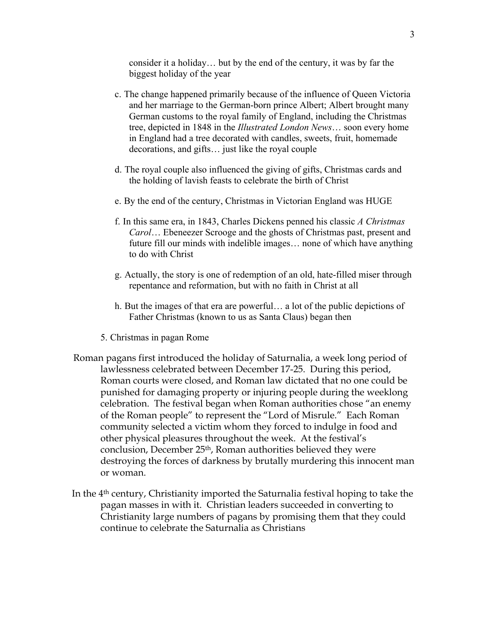consider it a holiday… but by the end of the century, it was by far the biggest holiday of the year

- c. The change happened primarily because of the influence of Queen Victoria and her marriage to the German-born prince Albert; Albert brought many German customs to the royal family of England, including the Christmas tree, depicted in 1848 in the *Illustrated London News*… soon every home in England had a tree decorated with candles, sweets, fruit, homemade decorations, and gifts… just like the royal couple
- d. The royal couple also influenced the giving of gifts, Christmas cards and the holding of lavish feasts to celebrate the birth of Christ
- e. By the end of the century, Christmas in Victorian England was HUGE
- f. In this same era, in 1843, Charles Dickens penned his classic *A Christmas Carol*… Ebeneezer Scrooge and the ghosts of Christmas past, present and future fill our minds with indelible images… none of which have anything to do with Christ
- g. Actually, the story is one of redemption of an old, hate-filled miser through repentance and reformation, but with no faith in Christ at all
- h. But the images of that era are powerful… a lot of the public depictions of Father Christmas (known to us as Santa Claus) began then
- 5. Christmas in pagan Rome
- Roman pagans first introduced the holiday of Saturnalia, a week long period of lawlessness celebrated between December 17-25. During this period, Roman courts were closed, and Roman law dictated that no one could be punished for damaging property or injuring people during the weeklong celebration. The festival began when Roman authorities chose "an enemy of the Roman people" to represent the "Lord of Misrule." Each Roman community selected a victim whom they forced to indulge in food and other physical pleasures throughout the week. At the festival's conclusion, December 25th, Roman authorities believed they were destroying the forces of darkness by brutally murdering this innocent man or woman.
- In the 4th century, Christianity imported the Saturnalia festival hoping to take the pagan masses in with it. Christian leaders succeeded in converting to Christianity large numbers of pagans by promising them that they could continue to celebrate the Saturnalia as Christians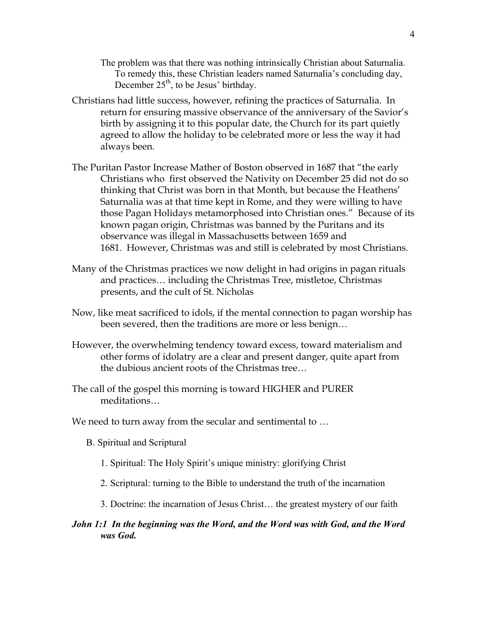- The problem was that there was nothing intrinsically Christian about Saturnalia. To remedy this, these Christian leaders named Saturnalia's concluding day, December  $25<sup>th</sup>$ , to be Jesus' birthday.
- Christians had little success, however, refining the practices of Saturnalia. In return for ensuring massive observance of the anniversary of the Savior's birth by assigning it to this popular date, the Church for its part quietly agreed to allow the holiday to be celebrated more or less the way it had always been.
- The Puritan Pastor Increase Mather of Boston observed in 1687 that "the early Christians who first observed the Nativity on December 25 did not do so thinking that Christ was born in that Month, but because the Heathens' Saturnalia was at that time kept in Rome, and they were willing to have those Pagan Holidays metamorphosed into Christian ones." Because of its known pagan origin, Christmas was banned by the Puritans and its observance was illegal in Massachusetts between 1659 and 1681. However, Christmas was and still is celebrated by most Christians.
- Many of the Christmas practices we now delight in had origins in pagan rituals and practices… including the Christmas Tree, mistletoe, Christmas presents, and the cult of St. Nicholas
- Now, like meat sacrificed to idols, if the mental connection to pagan worship has been severed, then the traditions are more or less benign…
- However, the overwhelming tendency toward excess, toward materialism and other forms of idolatry are a clear and present danger, quite apart from the dubious ancient roots of the Christmas tree…
- The call of the gospel this morning is toward HIGHER and PURER meditations…
- We need to turn away from the secular and sentimental to …
	- B. Spiritual and Scriptural
		- 1. Spiritual: The Holy Spirit's unique ministry: glorifying Christ
		- 2. Scriptural: turning to the Bible to understand the truth of the incarnation
		- 3. Doctrine: the incarnation of Jesus Christ… the greatest mystery of our faith
- *John 1:1 In the beginning was the Word, and the Word was with God, and the Word was God.*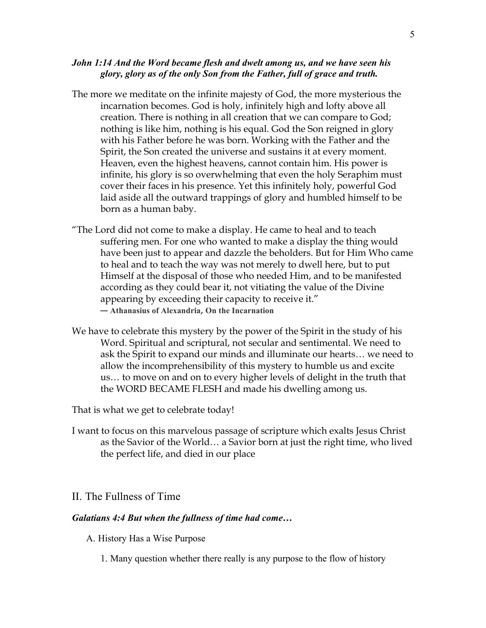#### *John 1:14 And the Word became flesh and dwelt among us, and we have seen his glory, glory as of the only Son from the Father, full of grace and truth.*

- The more we meditate on the infinite majesty of God, the more mysterious the incarnation becomes. God is holy, infinitely high and lofty above all creation. There is nothing in all creation that we can compare to God; nothing is like him, nothing is his equal. God the Son reigned in glory with his Father before he was born. Working with the Father and the Spirit, the Son created the universe and sustains it at every moment. Heaven, even the highest heavens, cannot contain him. His power is infinite, his glory is so overwhelming that even the holy Seraphim must cover their faces in his presence. Yet this infinitely holy, powerful God laid aside all the outward trappings of glory and humbled himself to be born as a human baby.
- "The Lord did not come to make a display. He came to heal and to teach suffering men. For one who wanted to make a display the thing would have been just to appear and dazzle the beholders. But for Him Who came to heal and to teach the way was not merely to dwell here, but to put Himself at the disposal of those who needed Him, and to be manifested according as they could bear it, not vitiating the value of the Divine appearing by exceeding their capacity to receive it." ― **Athanasius of Alexandria**, **On the Incarnation**
- We have to celebrate this mystery by the power of the Spirit in the study of his Word. Spiritual and scriptural, not secular and sentimental. We need to ask the Spirit to expand our minds and illuminate our hearts… we need to allow the incomprehensibility of this mystery to humble us and excite us… to move on and on to every higher levels of delight in the truth that the WORD BECAME FLESH and made his dwelling among us.

That is what we get to celebrate today!

I want to focus on this marvelous passage of scripture which exalts Jesus Christ as the Savior of the World… a Savior born at just the right time, who lived the perfect life, and died in our place

### II. The Fullness of Time

#### *Galatians 4:4 But when the fullness of time had come…*

- A. History Has a Wise Purpose
	- 1. Many question whether there really is any purpose to the flow of history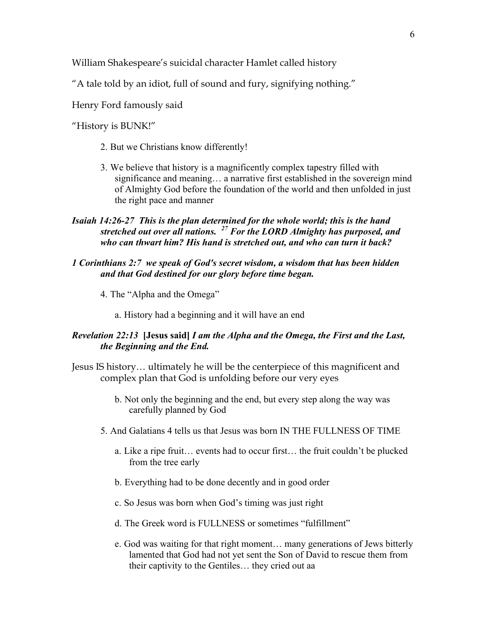William Shakespeare's suicidal character Hamlet called history

"A tale told by an idiot, full of sound and fury, signifying nothing."

Henry Ford famously said

"History is BUNK!"

- 2. But we Christians know differently!
- 3. We believe that history is a magnificently complex tapestry filled with significance and meaning… a narrative first established in the sovereign mind of Almighty God before the foundation of the world and then unfolded in just the right pace and manner
- *Isaiah 14:26-27 This is the plan determined for the whole world; this is the hand stretched out over all nations. <sup>27</sup> For the LORD Almighty has purposed, and who can thwart him? His hand is stretched out, and who can turn it back?*
- *1 Corinthians 2:7 we speak of God's secret wisdom, a wisdom that has been hidden and that God destined for our glory before time began.*
	- 4. The "Alpha and the Omega"
		- a. History had a beginning and it will have an end

### *Revelation 22:13* **[Jesus said]** *I am the Alpha and the Omega, the First and the Last, the Beginning and the End.*

- Jesus IS history… ultimately he will be the centerpiece of this magnificent and complex plan that God is unfolding before our very eyes
	- b. Not only the beginning and the end, but every step along the way was carefully planned by God
	- 5. And Galatians 4 tells us that Jesus was born IN THE FULLNESS OF TIME
		- a. Like a ripe fruit… events had to occur first… the fruit couldn't be plucked from the tree early
		- b. Everything had to be done decently and in good order
		- c. So Jesus was born when God's timing was just right
		- d. The Greek word is FULLNESS or sometimes "fulfillment"
		- e. God was waiting for that right moment… many generations of Jews bitterly lamented that God had not yet sent the Son of David to rescue them from their captivity to the Gentiles… they cried out aa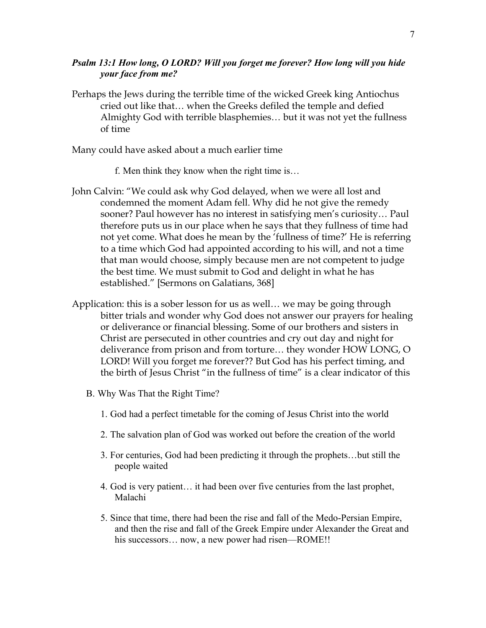### *Psalm 13:1 How long, O LORD? Will you forget me forever? How long will you hide your face from me?*

Perhaps the Jews during the terrible time of the wicked Greek king Antiochus cried out like that… when the Greeks defiled the temple and defied Almighty God with terrible blasphemies… but it was not yet the fullness of time

Many could have asked about a much earlier time

- f. Men think they know when the right time is…
- John Calvin: "We could ask why God delayed, when we were all lost and condemned the moment Adam fell. Why did he not give the remedy sooner? Paul however has no interest in satisfying men's curiosity… Paul therefore puts us in our place when he says that they fullness of time had not yet come. What does he mean by the 'fullness of time?' He is referring to a time which God had appointed according to his will, and not a time that man would choose, simply because men are not competent to judge the best time. We must submit to God and delight in what he has established." [Sermons on Galatians, 368]
- Application: this is a sober lesson for us as well… we may be going through bitter trials and wonder why God does not answer our prayers for healing or deliverance or financial blessing. Some of our brothers and sisters in Christ are persecuted in other countries and cry out day and night for deliverance from prison and from torture… they wonder HOW LONG, O LORD! Will you forget me forever?? But God has his perfect timing, and the birth of Jesus Christ "in the fullness of time" is a clear indicator of this
	- B. Why Was That the Right Time?
		- 1. God had a perfect timetable for the coming of Jesus Christ into the world
		- 2. The salvation plan of God was worked out before the creation of the world
		- 3. For centuries, God had been predicting it through the prophets…but still the people waited
		- 4. God is very patient… it had been over five centuries from the last prophet, Malachi
		- 5. Since that time, there had been the rise and fall of the Medo-Persian Empire, and then the rise and fall of the Greek Empire under Alexander the Great and his successors... now, a new power had risen—ROME!!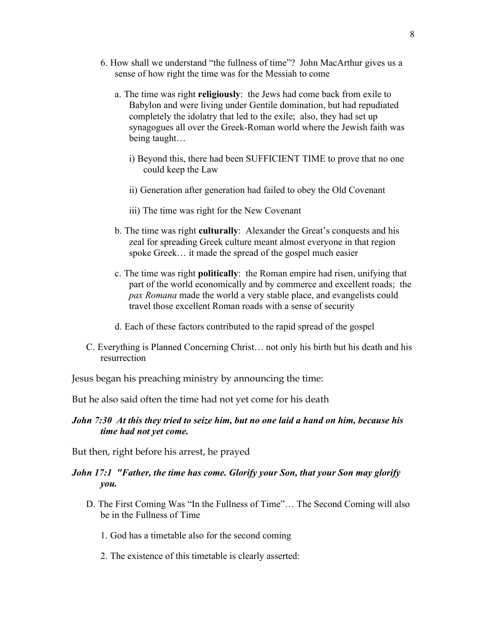- 6. How shall we understand "the fullness of time"? John MacArthur gives us a sense of how right the time was for the Messiah to come
	- a. The time was right **religiously**: the Jews had come back from exile to Babylon and were living under Gentile domination, but had repudiated completely the idolatry that led to the exile; also, they had set up synagogues all over the Greek-Roman world where the Jewish faith was being taught…
		- i) Beyond this, there had been SUFFICIENT TIME to prove that no one could keep the Law
		- ii) Generation after generation had failed to obey the Old Covenant
		- iii) The time was right for the New Covenant
	- b. The time was right **culturally**: Alexander the Great's conquests and his zeal for spreading Greek culture meant almost everyone in that region spoke Greek… it made the spread of the gospel much easier
	- c. The time was right **politically**: the Roman empire had risen, unifying that part of the world economically and by commerce and excellent roads; the *pax Romana* made the world a very stable place, and evangelists could travel those excellent Roman roads with a sense of security
	- d. Each of these factors contributed to the rapid spread of the gospel
- C. Everything is Planned Concerning Christ… not only his birth but his death and his resurrection

Jesus began his preaching ministry by announcing the time:

But he also said often the time had not yet come for his death

### *John 7:30 At this they tried to seize him, but no one laid a hand on him, because his time had not yet come.*

But then, right before his arrest, he prayed

### *John 17:1 "Father, the time has come. Glorify your Son, that your Son may glorify you.*

- D. The First Coming Was "In the Fullness of Time"… The Second Coming will also be in the Fullness of Time
	- 1. God has a timetable also for the second coming
	- 2. The existence of this timetable is clearly asserted: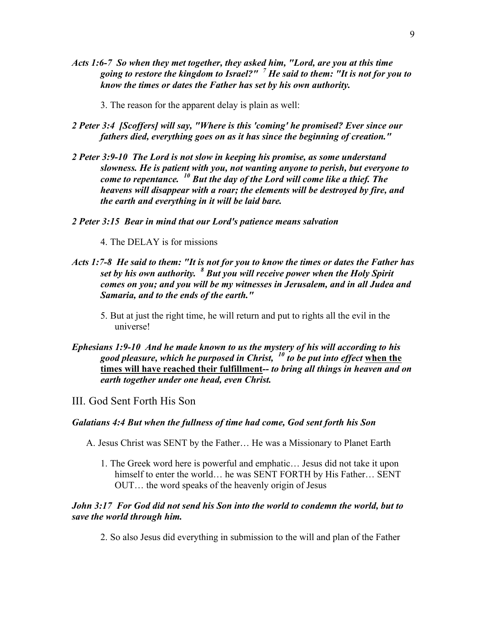- *Acts 1:6-7 So when they met together, they asked him, "Lord, are you at this time going to restore the kingdom to Israel?" <sup>7</sup> He said to them: "It is not for you to know the times or dates the Father has set by his own authority.*
	- 3. The reason for the apparent delay is plain as well:
- *2 Peter 3:4 [Scoffers] will say, "Where is this 'coming' he promised? Ever since our fathers died, everything goes on as it has since the beginning of creation."*
- *2 Peter 3:9-10 The Lord is not slow in keeping his promise, as some understand slowness. He is patient with you, not wanting anyone to perish, but everyone to come to repentance. <sup>10</sup> But the day of the Lord will come like a thief. The heavens will disappear with a roar; the elements will be destroyed by fire, and the earth and everything in it will be laid bare.*
- *2 Peter 3:15 Bear in mind that our Lord's patience means salvation*
	- 4. The DELAY is for missions
- *Acts 1:7-8 He said to them: "It is not for you to know the times or dates the Father has set by his own authority. <sup>8</sup> But you will receive power when the Holy Spirit comes on you; and you will be my witnesses in Jerusalem, and in all Judea and Samaria, and to the ends of the earth."*
	- 5. But at just the right time, he will return and put to rights all the evil in the universe!
- *Ephesians 1:9-10 And he made known to us the mystery of his will according to his good pleasure, which he purposed in Christ, <sup>10</sup> to be put into effect* **when the times will have reached their fulfillment***-- to bring all things in heaven and on earth together under one head, even Christ.*
- III. God Sent Forth His Son

#### *Galatians 4:4 But when the fullness of time had come, God sent forth his Son*

- A. Jesus Christ was SENT by the Father… He was a Missionary to Planet Earth
	- 1. The Greek word here is powerful and emphatic… Jesus did not take it upon himself to enter the world… he was SENT FORTH by His Father... SENT OUT… the word speaks of the heavenly origin of Jesus

#### *John 3:17 For God did not send his Son into the world to condemn the world, but to save the world through him.*

2. So also Jesus did everything in submission to the will and plan of the Father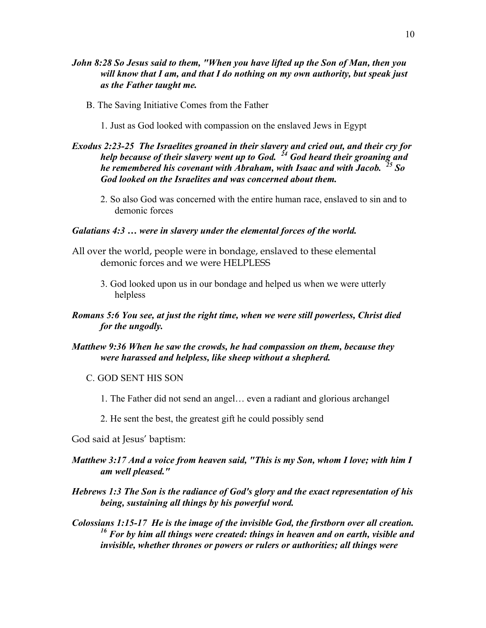- *John 8:28 So Jesus said to them, "When you have lifted up the Son of Man, then you will know that I am, and that I do nothing on my own authority, but speak just as the Father taught me.*
	- B. The Saving Initiative Comes from the Father
		- 1. Just as God looked with compassion on the enslaved Jews in Egypt

### *Exodus 2:23-25 The Israelites groaned in their slavery and cried out, and their cry for help because of their slavery went up to God. <sup>24</sup> God heard their groaning and he remembered his covenant with Abraham, with Isaac and with Jacob. <sup>25</sup> So God looked on the Israelites and was concerned about them.*

2. So also God was concerned with the entire human race, enslaved to sin and to demonic forces

### *Galatians 4:3 … were in slavery under the elemental forces of the world.*

- All over the world, people were in bondage, enslaved to these elemental demonic forces and we were HELPLESS
	- 3. God looked upon us in our bondage and helped us when we were utterly helpless

### *Romans 5:6 You see, at just the right time, when we were still powerless, Christ died for the ungodly.*

### *Matthew 9:36 When he saw the crowds, he had compassion on them, because they were harassed and helpless, like sheep without a shepherd.*

### C. GOD SENT HIS SON

- 1. The Father did not send an angel… even a radiant and glorious archangel
- 2. He sent the best, the greatest gift he could possibly send

God said at Jesus' baptism:

- *Matthew 3:17 And a voice from heaven said, "This is my Son, whom I love; with him I am well pleased."*
- *Hebrews 1:3 The Son is the radiance of God's glory and the exact representation of his being, sustaining all things by his powerful word.*
- *Colossians 1:15-17 He is the image of the invisible God, the firstborn over all creation. <sup>16</sup> For by him all things were created: things in heaven and on earth, visible and invisible, whether thrones or powers or rulers or authorities; all things were*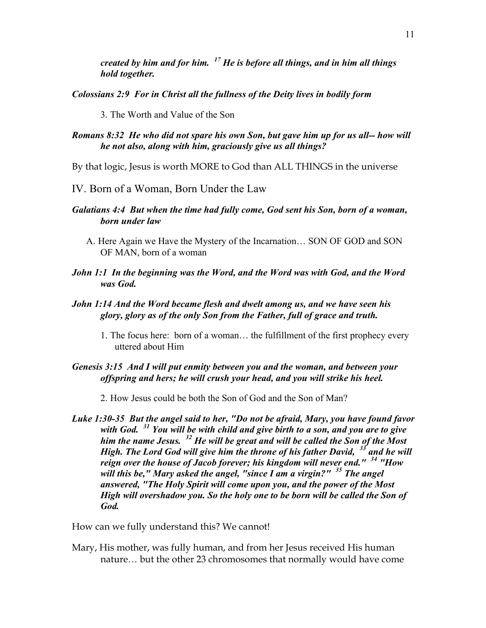*created by him and for him. <sup>17</sup> He is before all things, and in him all things hold together.*

*Colossians 2:9 For in Christ all the fullness of the Deity lives in bodily form*

3. The Worth and Value of the Son

### *Romans 8:32 He who did not spare his own Son, but gave him up for us all-- how will he not also, along with him, graciously give us all things?*

By that logic, Jesus is worth MORE to God than ALL THINGS in the universe

- IV. Born of a Woman, Born Under the Law
- *Galatians 4:4 But when the time had fully come, God sent his Son, born of a woman, born under law*
	- A. Here Again we Have the Mystery of the Incarnation… SON OF GOD and SON OF MAN, born of a woman
- *John 1:1 In the beginning was the Word, and the Word was with God, and the Word was God.*
- *John 1:14 And the Word became flesh and dwelt among us, and we have seen his glory, glory as of the only Son from the Father, full of grace and truth.*
	- 1. The focus here: born of a woman… the fulfillment of the first prophecy every uttered about Him

### *Genesis 3:15 And I will put enmity between you and the woman, and between your offspring and hers; he will crush your head, and you will strike his heel.*

- 2. How Jesus could be both the Son of God and the Son of Man?
- *Luke 1:30-35 But the angel said to her, "Do not be afraid, Mary, you have found favor with God. <sup>31</sup> You will be with child and give birth to a son, and you are to give him the name Jesus. <sup>32</sup> He will be great and will be called the Son of the Most High. The Lord God will give him the throne of his father David, <sup>33</sup> and he will reign over the house of Jacob forever; his kingdom will never end." <sup>34</sup> "How will this be," Mary asked the angel, "since I am a virgin?" <sup>35</sup> The angel answered, "The Holy Spirit will come upon you, and the power of the Most High will overshadow you. So the holy one to be born will be called the Son of God.*

How can we fully understand this? We cannot!

Mary, His mother, was fully human, and from her Jesus received His human nature… but the other 23 chromosomes that normally would have come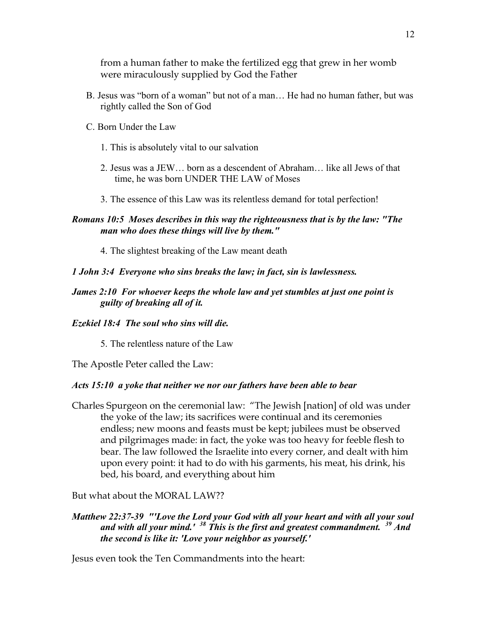from a human father to make the fertilized egg that grew in her womb were miraculously supplied by God the Father

- B. Jesus was "born of a woman" but not of a man… He had no human father, but was rightly called the Son of God
- C. Born Under the Law
	- 1. This is absolutely vital to our salvation
	- 2. Jesus was a JEW… born as a descendent of Abraham… like all Jews of that time, he was born UNDER THE LAW of Moses
	- 3. The essence of this Law was its relentless demand for total perfection!

### *Romans 10:5 Moses describes in this way the righteousness that is by the law: "The man who does these things will live by them."*

4. The slightest breaking of the Law meant death

## *1 John 3:4 Everyone who sins breaks the law; in fact, sin is lawlessness.*

*James 2:10 For whoever keeps the whole law and yet stumbles at just one point is guilty of breaking all of it.*

## *Ezekiel 18:4 The soul who sins will die.*

5. The relentless nature of the Law

The Apostle Peter called the Law:

## *Acts 15:10 a yoke that neither we nor our fathers have been able to bear*

Charles Spurgeon on the ceremonial law: "The Jewish [nation] of old was under the yoke of the law; its sacrifices were continual and its ceremonies endless; new moons and feasts must be kept; jubilees must be observed and pilgrimages made: in fact, the yoke was too heavy for feeble flesh to bear. The law followed the Israelite into every corner, and dealt with him upon every point: it had to do with his garments, his meat, his drink, his bed, his board, and everything about him

But what about the MORAL LAW??

### *Matthew 22:37-39 "'Love the Lord your God with all your heart and with all your soul and with all your mind.' <sup>38</sup> This is the first and greatest commandment. <sup>39</sup> And the second is like it: 'Love your neighbor as yourself.'*

Jesus even took the Ten Commandments into the heart: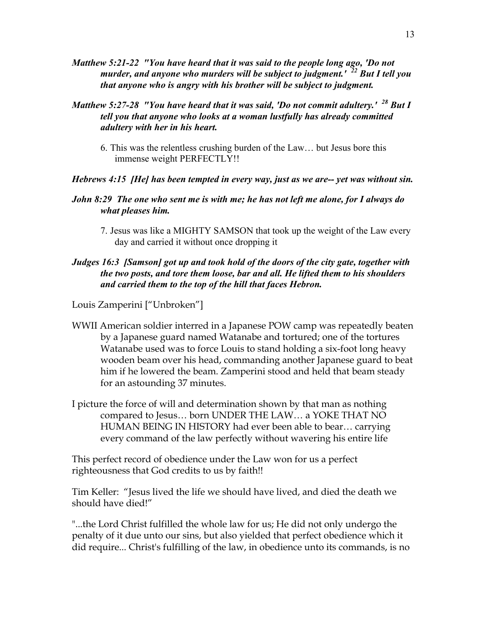- *Matthew 5:21-22 "You have heard that it was said to the people long ago, 'Do not murder, and anyone who murders will be subject to judgment.' <sup>22</sup> But I tell you that anyone who is angry with his brother will be subject to judgment.*
- *Matthew 5:27-28 "You have heard that it was said, 'Do not commit adultery.' <sup>28</sup> But I tell you that anyone who looks at a woman lustfully has already committed adultery with her in his heart.*
	- 6. This was the relentless crushing burden of the Law… but Jesus bore this immense weight PERFECTLY!!
- *Hebrews 4:15 [He] has been tempted in every way, just as we are-- yet was without sin.*
- *John 8:29 The one who sent me is with me; he has not left me alone, for I always do what pleases him.*
	- 7. Jesus was like a MIGHTY SAMSON that took up the weight of the Law every day and carried it without once dropping it

### *Judges 16:3 [Samson] got up and took hold of the doors of the city gate, together with the two posts, and tore them loose, bar and all. He lifted them to his shoulders and carried them to the top of the hill that faces Hebron.*

Louis Zamperini ["Unbroken"]

- WWII American soldier interred in a Japanese POW camp was repeatedly beaten by a Japanese guard named Watanabe and tortured; one of the tortures Watanabe used was to force Louis to stand holding a six-foot long heavy wooden beam over his head, commanding another Japanese guard to beat him if he lowered the beam. Zamperini stood and held that beam steady for an astounding 37 minutes.
- I picture the force of will and determination shown by that man as nothing compared to Jesus… born UNDER THE LAW… a YOKE THAT NO HUMAN BEING IN HISTORY had ever been able to bear… carrying every command of the law perfectly without wavering his entire life

This perfect record of obedience under the Law won for us a perfect righteousness that God credits to us by faith!!

Tim Keller: "Jesus lived the life we should have lived, and died the death we should have died!"

"...the Lord Christ fulfilled the whole law for us; He did not only undergo the penalty of it due unto our sins, but also yielded that perfect obedience which it did require... Christ's fulfilling of the law, in obedience unto its commands, is no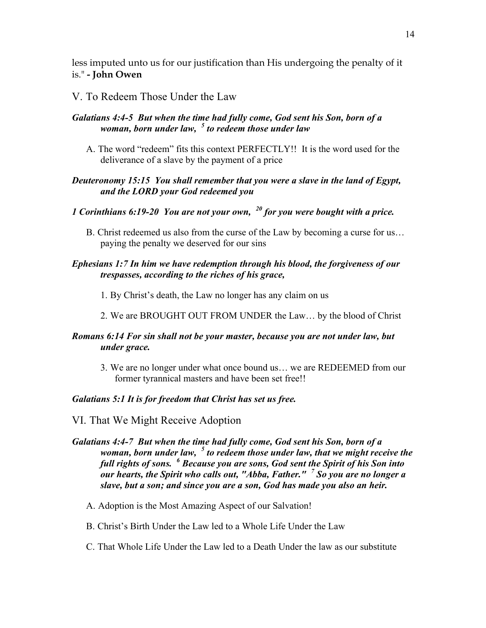less imputed unto us for our justification than His undergoing the penalty of it is." **- John Owen**

### V. To Redeem Those Under the Law

## *Galatians 4:4-5 But when the time had fully come, God sent his Son, born of a woman, born under law, <sup>5</sup> to redeem those under law*

A. The word "redeem" fits this context PERFECTLY!! It is the word used for the deliverance of a slave by the payment of a price

### *Deuteronomy 15:15 You shall remember that you were a slave in the land of Egypt, and the LORD your God redeemed you*

## *1 Corinthians 6:19-20 You are not your own, <sup>20</sup> for you were bought with a price.*

B. Christ redeemed us also from the curse of the Law by becoming a curse for us… paying the penalty we deserved for our sins

### *Ephesians 1:7 In him we have redemption through his blood, the forgiveness of our trespasses, according to the riches of his grace,*

- 1. By Christ's death, the Law no longer has any claim on us
- 2. We are BROUGHT OUT FROM UNDER the Law… by the blood of Christ

### *Romans 6:14 For sin shall not be your master, because you are not under law, but under grace.*

3. We are no longer under what once bound us… we are REDEEMED from our former tyrannical masters and have been set free!!

#### *Galatians 5:1 It is for freedom that Christ has set us free.*

VI. That We Might Receive Adoption

### *Galatians 4:4-7 But when the time had fully come, God sent his Son, born of a woman, born under law, <sup>5</sup> to redeem those under law, that we might receive the full rights of sons. <sup>6</sup> Because you are sons, God sent the Spirit of his Son into our hearts, the Spirit who calls out, "Abba, Father." <sup>7</sup> So you are no longer a slave, but a son; and since you are a son, God has made you also an heir.*

- A. Adoption is the Most Amazing Aspect of our Salvation!
- B. Christ's Birth Under the Law led to a Whole Life Under the Law
- C. That Whole Life Under the Law led to a Death Under the law as our substitute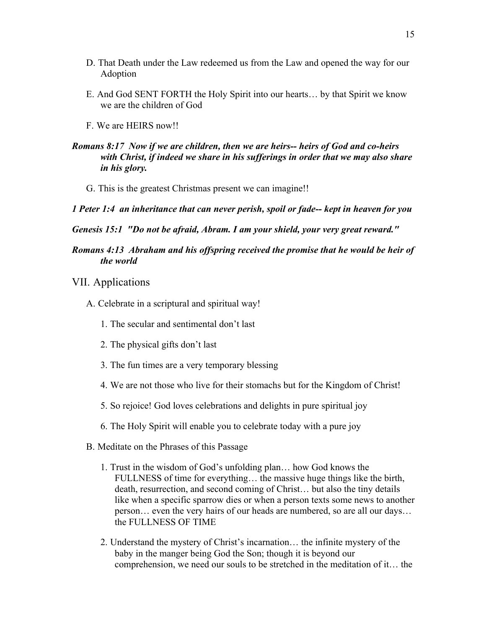- D. That Death under the Law redeemed us from the Law and opened the way for our Adoption
- E. And God SENT FORTH the Holy Spirit into our hearts… by that Spirit we know we are the children of God
- F. We are HEIRS now!!
- *Romans 8:17 Now if we are children, then we are heirs-- heirs of God and co-heirs with Christ, if indeed we share in his sufferings in order that we may also share in his glory.*
	- G. This is the greatest Christmas present we can imagine!!
- *1 Peter 1:4 an inheritance that can never perish, spoil or fade-- kept in heaven for you*
- *Genesis 15:1 "Do not be afraid, Abram. I am your shield, your very great reward."*
- *Romans 4:13 Abraham and his offspring received the promise that he would be heir of the world*
- VII. Applications
	- A. Celebrate in a scriptural and spiritual way!
		- 1. The secular and sentimental don't last
		- 2. The physical gifts don't last
		- 3. The fun times are a very temporary blessing
		- 4. We are not those who live for their stomachs but for the Kingdom of Christ!
		- 5. So rejoice! God loves celebrations and delights in pure spiritual joy
		- 6. The Holy Spirit will enable you to celebrate today with a pure joy
	- B. Meditate on the Phrases of this Passage
		- 1. Trust in the wisdom of God's unfolding plan… how God knows the FULLNESS of time for everything… the massive huge things like the birth, death, resurrection, and second coming of Christ… but also the tiny details like when a specific sparrow dies or when a person texts some news to another person… even the very hairs of our heads are numbered, so are all our days… the FULLNESS OF TIME
		- 2. Understand the mystery of Christ's incarnation… the infinite mystery of the baby in the manger being God the Son; though it is beyond our comprehension, we need our souls to be stretched in the meditation of it… the